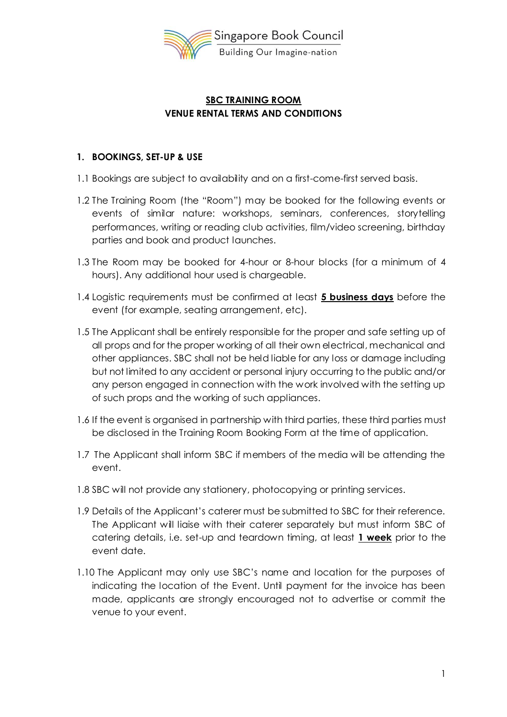

# **SBC TRAINING ROOM VENUE RENTAL TERMS AND CONDITIONS**

### **1. BOOKINGS, SET-UP & USE**

- 1.1 Bookings are subject to availability and on a first-come-first served basis.
- 1.2 The Training Room (the "Room") may be booked for the following events or events of similar nature: workshops, seminars, conferences, storytelling performances, writing or reading club activities, film/video screening, birthday parties and book and product launches.
- 1.3 The Room may be booked for 4-hour or 8-hour blocks (for a minimum of 4 hours). Any additional hour used is chargeable.
- 1.4 Logistic requirements must be confirmed at least **5 business days** before the event (for example, seating arrangement, etc).
- 1.5 The Applicant shall be entirely responsible for the proper and safe setting up of all props and for the proper working of all their own electrical, mechanical and other appliances. SBC shall not be held liable for any loss or damage including but not limited to any accident or personal injury occurring to the public and/or any person engaged in connection with the work involved with the setting up of such props and the working of such appliances.
- 1.6 If the event is organised in partnership with third parties, these third parties must be disclosed in the Training Room Booking Form at the time of application.
- 1.7 The Applicant shall inform SBC if members of the media will be attending the event.
- 1.8 SBC will not provide any stationery, photocopying or printing services.
- 1.9 Details of the Applicant's caterer must be submitted to SBC for their reference. The Applicant will liaise with their caterer separately but must inform SBC of catering details, i.e. set-up and teardown timing, at least **1 week** prior to the event date.
- 1.10 The Applicant may only use SBC's name and location for the purposes of indicating the location of the Event. Until payment for the invoice has been made, applicants are strongly encouraged not to advertise or commit the venue to your event.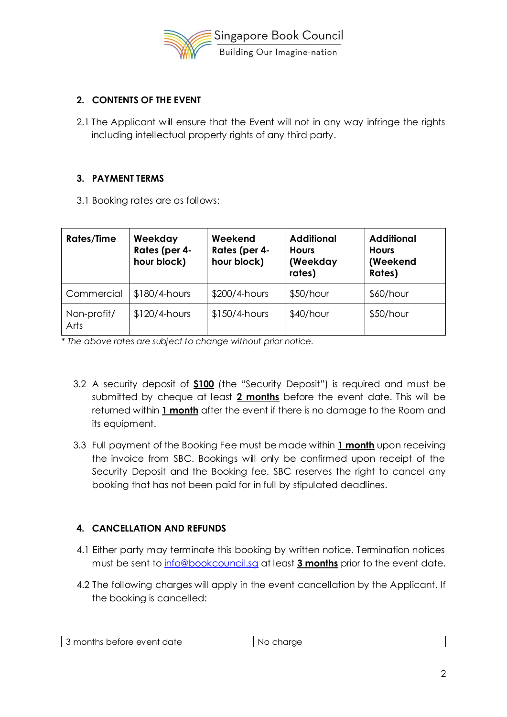

# **2. CONTENTS OF THE EVENT**

2.1 The Applicant will ensure that the Event will not in any way infringe the rights including intellectual property rights of any third party.

### **3. PAYMENT TERMS**

3.1 Booking rates are as follows:

| <b>Rates/Time</b>   | Weekday<br>Rates (per 4-<br>hour block) | Weekend<br>Rates (per 4-<br>hour block) | <b>Additional</b><br><b>Hours</b><br>(Weekday<br>rates) | <b>Additional</b><br><b>Hours</b><br>(Weekend<br>Rates) |
|---------------------|-----------------------------------------|-----------------------------------------|---------------------------------------------------------|---------------------------------------------------------|
| Commercial          | $$180/4$ -hours                         | $$200/4$ -hours                         | $$50/h$ our                                             | $$60/h$ our                                             |
| Non-profit/<br>Arts | $$120/4$ -hours                         | $$150/4$ -hours                         | $$40/h$ our                                             | $$50/h$ our                                             |

*\* The above rates are subject to change without prior notice.*

- 3.2 A security deposit of **\$100** (the "Security Deposit") is required and must be submitted by cheque at least **2 months** before the event date. This will be returned within **1 month** after the event if there is no damage to the Room and its equipment.
- 3.3 Full payment of the Booking Fee must be made within **1 month** upon receiving the invoice from SBC. Bookings will only be confirmed upon receipt of the Security Deposit and the Booking fee. SBC reserves the right to cancel any booking that has not been paid for in full by stipulated deadlines.

# **4. CANCELLATION AND REFUNDS**

- 4.1 Either party may terminate this booking by written notice. Termination notices must be sent t[o info@bookcouncil.sg](mailto:info@bookcouncil.sg) at least **3 months** prior to the event date.
- 4.2 The following charges will apply in the event cancellation by the Applicant. If the booking is cancelled:

| ್ months ∟<br>before event date<br>NG<br>. J |
|----------------------------------------------|
|----------------------------------------------|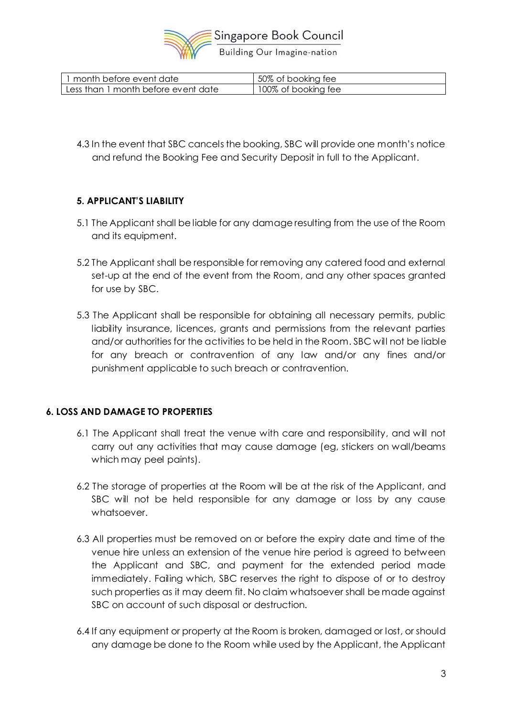

| 1 month before event date           | 50% of booking fee  |
|-------------------------------------|---------------------|
| Less than 1 month before event date | 100% of booking fee |

4.3 In the event that SBC cancels the booking, SBC will provide one month's notice and refund the Booking Fee and Security Deposit in full to the Applicant.

### **5. APPLICANT'S LIABILITY**

- 5.1 The Applicant shall be liable for any damage resulting from the use of the Room and its equipment.
- 5.2 The Applicant shall be responsible for removing any catered food and external set-up at the end of the event from the Room, and any other spaces granted for use by SBC.
- 5.3 The Applicant shall be responsible for obtaining all necessary permits, public liability insurance, licences, grants and permissions from the relevant parties and/or authorities for the activities to be held in the Room. SBC will not be liable for any breach or contravention of any law and/or any fines and/or punishment applicable to such breach or contravention.

### **6. LOSS AND DAMAGE TO PROPERTIES**

- 6.1 The Applicant shall treat the venue with care and responsibility, and will not carry out any activities that may cause damage (eg, stickers on wall/beams which may peel paints).
- 6.2 The storage of properties at the Room will be at the risk of the Applicant, and SBC will not be held responsible for any damage or loss by any cause whatsoever.
- 6.3 All properties must be removed on or before the expiry date and time of the venue hire unless an extension of the venue hire period is agreed to between the Applicant and SBC, and payment for the extended period made immediately. Failing which, SBC reserves the right to dispose of or to destroy such properties as it may deem fit. No claim whatsoever shall be made against SBC on account of such disposal or destruction.
- 6.4 If any equipment or property at the Room is broken, damaged or lost, or should any damage be done to the Room while used by the Applicant, the Applicant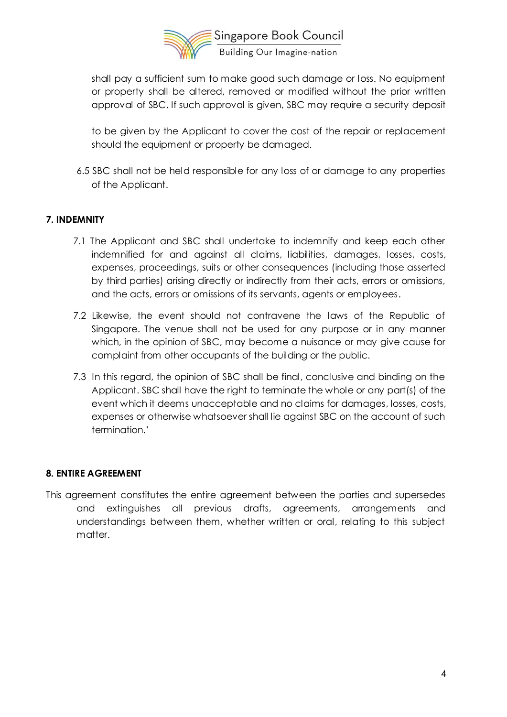

shall pay a sufficient sum to make good such damage or loss. No equipment or property shall be altered, removed or modified without the prior written approval of SBC. If such approval is given, SBC may require a security deposit

to be given by the Applicant to cover the cost of the repair or replacement should the equipment or property be damaged.

6.5 SBC shall not be held responsible for any loss of or damage to any properties of the Applicant.

### **7. INDEMNITY**

- 7.1 The Applicant and SBC shall undertake to indemnify and keep each other indemnified for and against all claims, liabilities, damages, losses, costs, expenses, proceedings, suits or other consequences (including those asserted by third parties) arising directly or indirectly from their acts, errors or omissions, and the acts, errors or omissions of its servants, agents or employees.
- 7.2 Likewise, the event should not contravene the laws of the Republic of Singapore. The venue shall not be used for any purpose or in any manner which, in the opinion of SBC, may become a nuisance or may give cause for complaint from other occupants of the building or the public.
- 7.3 In this regard, the opinion of SBC shall be final, conclusive and binding on the Applicant. SBC shall have the right to terminate the whole or any part(s) of the event which it deems unacceptable and no claims for damages, losses, costs, expenses or otherwise whatsoever shall lie against SBC on the account of such termination.'

#### **8. ENTIRE AGREEMENT**

This agreement constitutes the entire agreement between the parties and supersedes and extinguishes all previous drafts, agreements, arrangements and understandings between them, whether written or oral, relating to this subject matter.